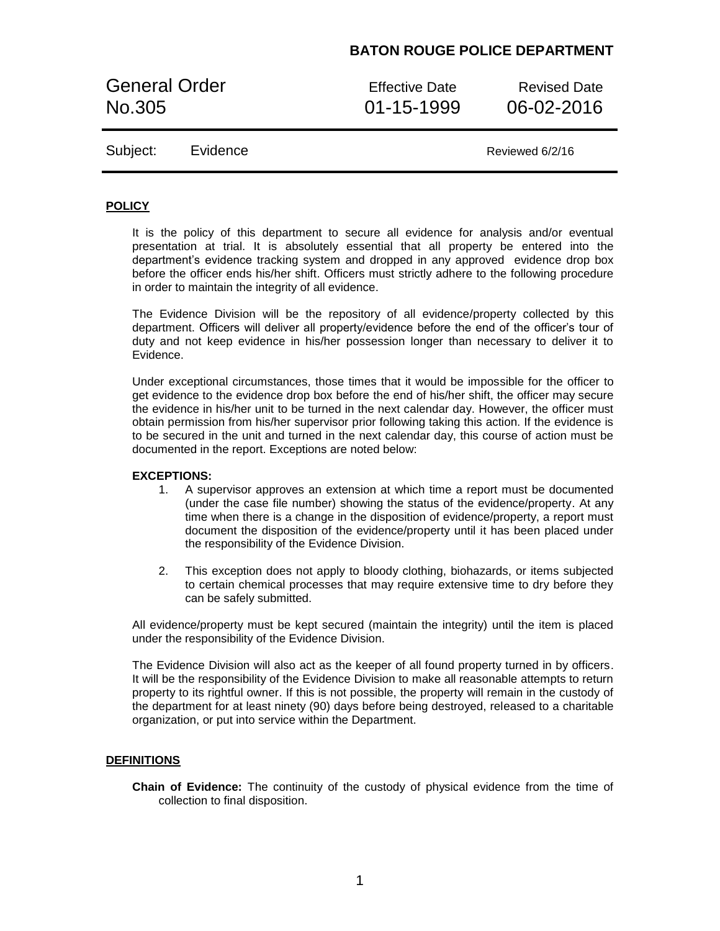General Order **Effective Date** Revised Date No.305 01-15-1999 06-02-2016

Subject: Evidence Reviewed 6/2/16

### **POLICY**

It is the policy of this department to secure all evidence for analysis and/or eventual presentation at trial. It is absolutely essential that all property be entered into the department's evidence tracking system and dropped in any approved evidence drop box before the officer ends his/her shift. Officers must strictly adhere to the following procedure in order to maintain the integrity of all evidence.

The Evidence Division will be the repository of all evidence/property collected by this department. Officers will deliver all property/evidence before the end of the officer's tour of duty and not keep evidence in his/her possession longer than necessary to deliver it to Evidence.

Under exceptional circumstances, those times that it would be impossible for the officer to get evidence to the evidence drop box before the end of his/her shift, the officer may secure the evidence in his/her unit to be turned in the next calendar day. However, the officer must obtain permission from his/her supervisor prior following taking this action. If the evidence is to be secured in the unit and turned in the next calendar day, this course of action must be documented in the report. Exceptions are noted below:

#### **EXCEPTIONS:**

- 1. A supervisor approves an extension at which time a report must be documented (under the case file number) showing the status of the evidence/property. At any time when there is a change in the disposition of evidence/property, a report must document the disposition of the evidence/property until it has been placed under the responsibility of the Evidence Division.
- 2. This exception does not apply to bloody clothing, biohazards, or items subjected to certain chemical processes that may require extensive time to dry before they can be safely submitted.

All evidence/property must be kept secured (maintain the integrity) until the item is placed under the responsibility of the Evidence Division.

The Evidence Division will also act as the keeper of all found property turned in by officers. It will be the responsibility of the Evidence Division to make all reasonable attempts to return property to its rightful owner. If this is not possible, the property will remain in the custody of the department for at least ninety (90) days before being destroyed, released to a charitable organization, or put into service within the Department.

#### **DEFINITIONS**

**Chain of Evidence:** The continuity of the custody of physical evidence from the time of collection to final disposition.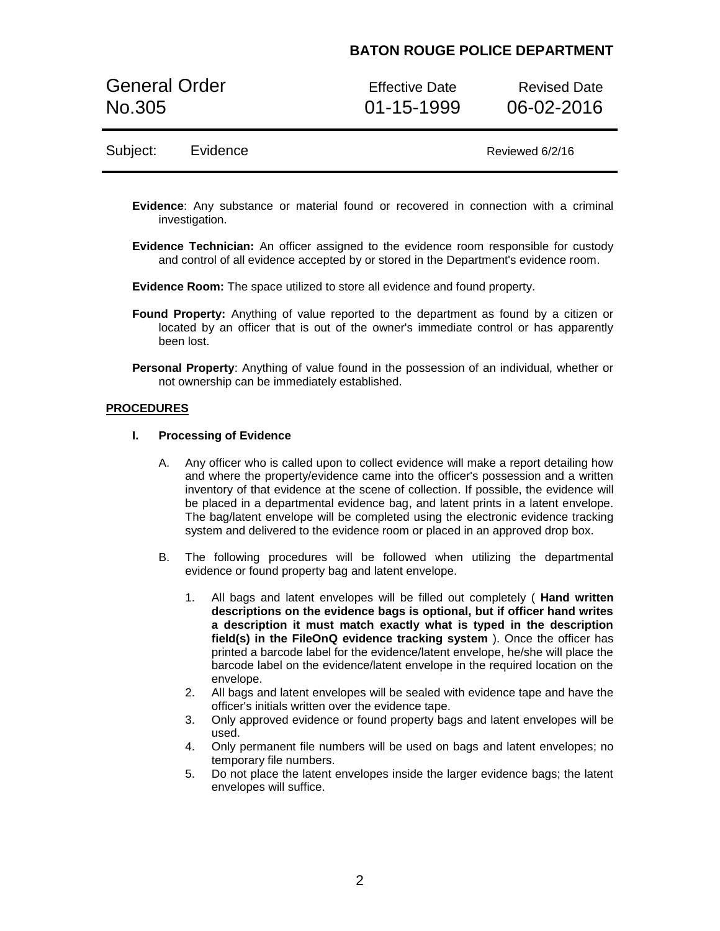General Order **Effective Date** Revised Date No.305 01-15-1999 06-02-2016

### Subject: Evidence Reviewed 6/2/16

- **Evidence**: Any substance or material found or recovered in connection with a criminal investigation.
- **Evidence Technician:** An officer assigned to the evidence room responsible for custody and control of all evidence accepted by or stored in the Department's evidence room.
- **Evidence Room:** The space utilized to store all evidence and found property.
- **Found Property:** Anything of value reported to the department as found by a citizen or located by an officer that is out of the owner's immediate control or has apparently been lost.
- **Personal Property**: Anything of value found in the possession of an individual, whether or not ownership can be immediately established.

#### **PROCEDURES**

#### **I. Processing of Evidence**

- A. Any officer who is called upon to collect evidence will make a report detailing how and where the property/evidence came into the officer's possession and a written inventory of that evidence at the scene of collection. If possible, the evidence will be placed in a departmental evidence bag, and latent prints in a latent envelope. The bag/latent envelope will be completed using the electronic evidence tracking system and delivered to the evidence room or placed in an approved drop box.
- B. The following procedures will be followed when utilizing the departmental evidence or found property bag and latent envelope.
	- 1. All bags and latent envelopes will be filled out completely ( **Hand written descriptions on the evidence bags is optional, but if officer hand writes a description it must match exactly what is typed in the description field(s) in the FileOnQ evidence tracking system** ). Once the officer has printed a barcode label for the evidence/latent envelope, he/she will place the barcode label on the evidence/latent envelope in the required location on the envelope.
	- 2. All bags and latent envelopes will be sealed with evidence tape and have the officer's initials written over the evidence tape.
	- 3. Only approved evidence or found property bags and latent envelopes will be used.
	- 4. Only permanent file numbers will be used on bags and latent envelopes; no temporary file numbers.
	- 5. Do not place the latent envelopes inside the larger evidence bags; the latent envelopes will suffice.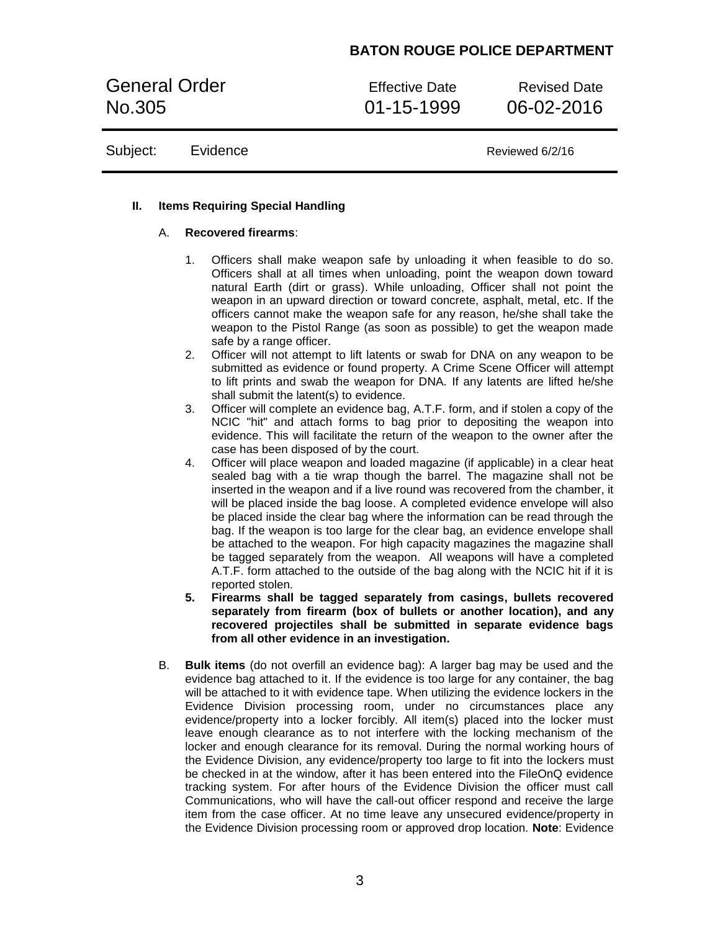General Order **Effective Date** Revised Date No.305 01-15-1999 06-02-2016

Subject: Evidence Reviewed 6/2/16

### **II. Items Requiring Special Handling**

### A. **Recovered firearms**:

- 1. Officers shall make weapon safe by unloading it when feasible to do so. Officers shall at all times when unloading, point the weapon down toward natural Earth (dirt or grass). While unloading, Officer shall not point the weapon in an upward direction or toward concrete, asphalt, metal, etc. If the officers cannot make the weapon safe for any reason, he/she shall take the weapon to the Pistol Range (as soon as possible) to get the weapon made safe by a range officer.
- 2. Officer will not attempt to lift latents or swab for DNA on any weapon to be submitted as evidence or found property. A Crime Scene Officer will attempt to lift prints and swab the weapon for DNA. If any latents are lifted he/she shall submit the latent(s) to evidence.
- 3. Officer will complete an evidence bag, A.T.F. form, and if stolen a copy of the NCIC "hit" and attach forms to bag prior to depositing the weapon into evidence. This will facilitate the return of the weapon to the owner after the case has been disposed of by the court.
- 4. Officer will place weapon and loaded magazine (if applicable) in a clear heat sealed bag with a tie wrap though the barrel. The magazine shall not be inserted in the weapon and if a live round was recovered from the chamber, it will be placed inside the bag loose. A completed evidence envelope will also be placed inside the clear bag where the information can be read through the bag. If the weapon is too large for the clear bag, an evidence envelope shall be attached to the weapon. For high capacity magazines the magazine shall be tagged separately from the weapon. All weapons will have a completed A.T.F. form attached to the outside of the bag along with the NCIC hit if it is reported stolen.
- **5. Firearms shall be tagged separately from casings, bullets recovered separately from firearm (box of bullets or another location), and any recovered projectiles shall be submitted in separate evidence bags from all other evidence in an investigation.**
- B. **Bulk items** (do not overfill an evidence bag): A larger bag may be used and the evidence bag attached to it. If the evidence is too large for any container, the bag will be attached to it with evidence tape. When utilizing the evidence lockers in the Evidence Division processing room, under no circumstances place any evidence/property into a locker forcibly. All item(s) placed into the locker must leave enough clearance as to not interfere with the locking mechanism of the locker and enough clearance for its removal. During the normal working hours of the Evidence Division, any evidence/property too large to fit into the lockers must be checked in at the window, after it has been entered into the FileOnQ evidence tracking system. For after hours of the Evidence Division the officer must call Communications, who will have the call-out officer respond and receive the large item from the case officer. At no time leave any unsecured evidence/property in the Evidence Division processing room or approved drop location. **Note**: Evidence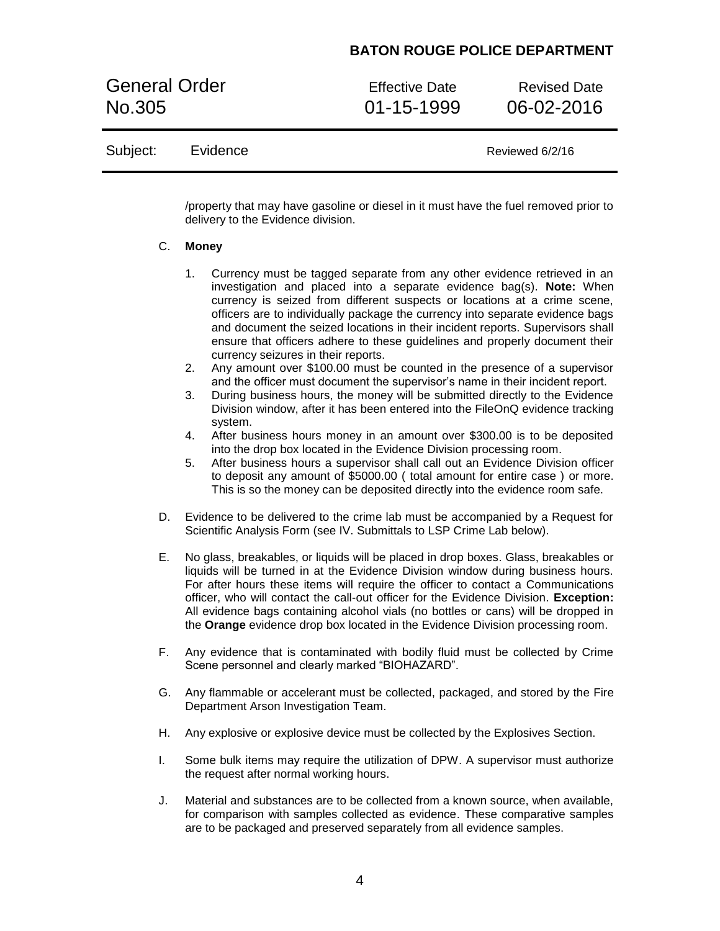General Order **Effective Date** Revised Date No.305 01-15-1999 06-02-2016

### Subject: Evidence Reviewed 6/2/16

/property that may have gasoline or diesel in it must have the fuel removed prior to delivery to the Evidence division.

#### C. **Money**

- 1. Currency must be tagged separate from any other evidence retrieved in an investigation and placed into a separate evidence bag(s). **Note:** When currency is seized from different suspects or locations at a crime scene, officers are to individually package the currency into separate evidence bags and document the seized locations in their incident reports. Supervisors shall ensure that officers adhere to these guidelines and properly document their currency seizures in their reports.
- 2. Any amount over \$100.00 must be counted in the presence of a supervisor and the officer must document the supervisor's name in their incident report.
- 3. During business hours, the money will be submitted directly to the Evidence Division window, after it has been entered into the FileOnQ evidence tracking system.
- 4. After business hours money in an amount over \$300.00 is to be deposited into the drop box located in the Evidence Division processing room.
- 5. After business hours a supervisor shall call out an Evidence Division officer to deposit any amount of \$5000.00 ( total amount for entire case ) or more. This is so the money can be deposited directly into the evidence room safe.
- D. Evidence to be delivered to the crime lab must be accompanied by a Request for Scientific Analysis Form (see IV. Submittals to LSP Crime Lab below).
- E. No glass, breakables, or liquids will be placed in drop boxes. Glass, breakables or liquids will be turned in at the Evidence Division window during business hours. For after hours these items will require the officer to contact a Communications officer, who will contact the call-out officer for the Evidence Division. **Exception:**  All evidence bags containing alcohol vials (no bottles or cans) will be dropped in the **Orange** evidence drop box located in the Evidence Division processing room.
- F. Any evidence that is contaminated with bodily fluid must be collected by Crime Scene personnel and clearly marked "BIOHAZARD".
- G. Any flammable or accelerant must be collected, packaged, and stored by the Fire Department Arson Investigation Team.
- H. Any explosive or explosive device must be collected by the Explosives Section.
- I. Some bulk items may require the utilization of DPW. A supervisor must authorize the request after normal working hours.
- J. Material and substances are to be collected from a known source, when available, for comparison with samples collected as evidence. These comparative samples are to be packaged and preserved separately from all evidence samples.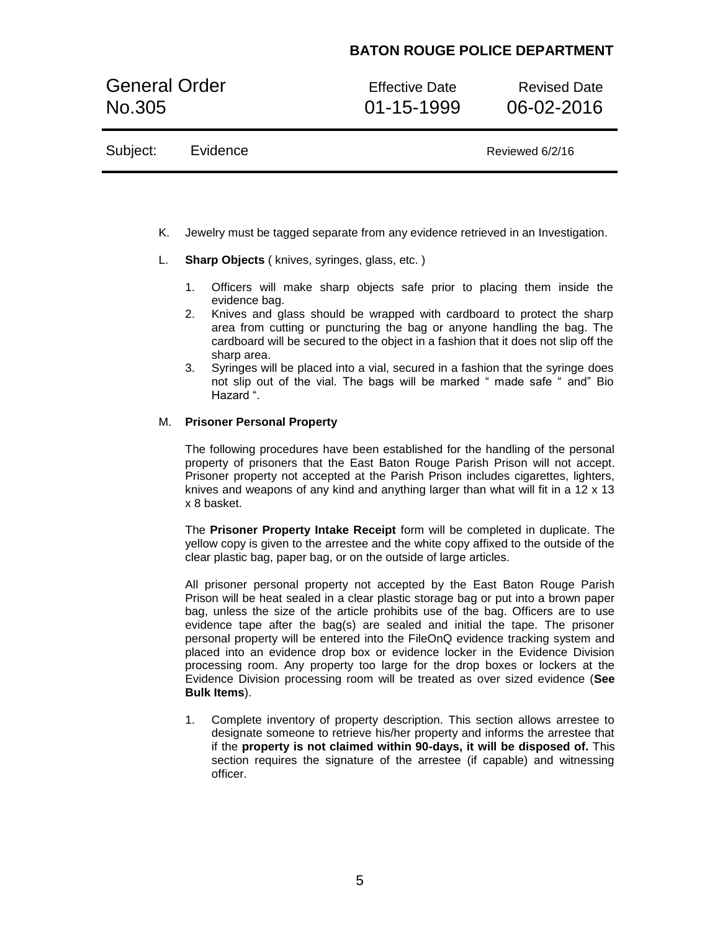General Order **Effective Date** Revised Date No.305 01-15-1999 06-02-2016

| Subject: | Evidence | Reviewed 6/2/16 |
|----------|----------|-----------------|
|----------|----------|-----------------|

- K. Jewelry must be tagged separate from any evidence retrieved in an Investigation.
- L. **Sharp Objects** ( knives, syringes, glass, etc. )
	- 1. Officers will make sharp objects safe prior to placing them inside the evidence bag.
	- 2. Knives and glass should be wrapped with cardboard to protect the sharp area from cutting or puncturing the bag or anyone handling the bag. The cardboard will be secured to the object in a fashion that it does not slip off the sharp area.
	- 3. Syringes will be placed into a vial, secured in a fashion that the syringe does not slip out of the vial. The bags will be marked " made safe " and" Bio Hazard ".

#### M. **Prisoner Personal Property**

The following procedures have been established for the handling of the personal property of prisoners that the East Baton Rouge Parish Prison will not accept. Prisoner property not accepted at the Parish Prison includes cigarettes, lighters, knives and weapons of any kind and anything larger than what will fit in a 12 x 13 x 8 basket.

The **Prisoner Property Intake Receipt** form will be completed in duplicate. The yellow copy is given to the arrestee and the white copy affixed to the outside of the clear plastic bag, paper bag, or on the outside of large articles.

All prisoner personal property not accepted by the East Baton Rouge Parish Prison will be heat sealed in a clear plastic storage bag or put into a brown paper bag, unless the size of the article prohibits use of the bag. Officers are to use evidence tape after the bag(s) are sealed and initial the tape. The prisoner personal property will be entered into the FileOnQ evidence tracking system and placed into an evidence drop box or evidence locker in the Evidence Division processing room. Any property too large for the drop boxes or lockers at the Evidence Division processing room will be treated as over sized evidence (**See Bulk Items**).

1. Complete inventory of property description. This section allows arrestee to designate someone to retrieve his/her property and informs the arrestee that if the **property is not claimed within 90-days, it will be disposed of.** This section requires the signature of the arrestee (if capable) and witnessing officer.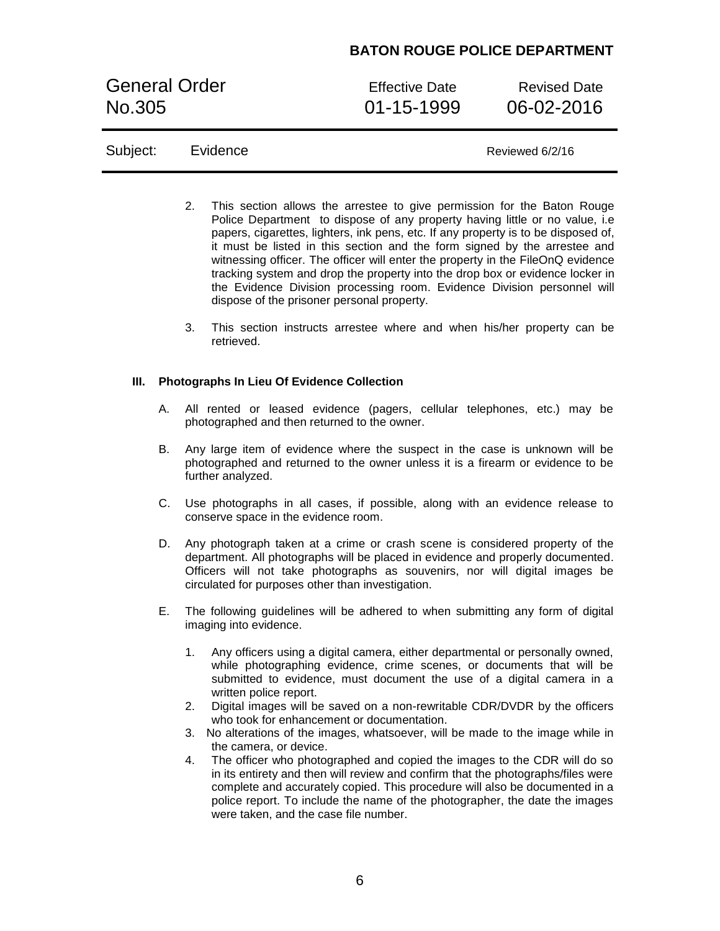General Order **Effective Date** Revised Date No.305 01-15-1999 06-02-2016

| Subject: | Evidence |
|----------|----------|
|          |          |

Reviewed 6/2/16

- 2. This section allows the arrestee to give permission for the Baton Rouge Police Department to dispose of any property having little or no value, i.e papers, cigarettes, lighters, ink pens, etc. If any property is to be disposed of, it must be listed in this section and the form signed by the arrestee and witnessing officer. The officer will enter the property in the FileOnQ evidence tracking system and drop the property into the drop box or evidence locker in the Evidence Division processing room. Evidence Division personnel will dispose of the prisoner personal property.
- 3. This section instructs arrestee where and when his/her property can be retrieved.

#### **III. Photographs In Lieu Of Evidence Collection**

- A. All rented or leased evidence (pagers, cellular telephones, etc.) may be photographed and then returned to the owner.
- B. Any large item of evidence where the suspect in the case is unknown will be photographed and returned to the owner unless it is a firearm or evidence to be further analyzed.
- C. Use photographs in all cases, if possible, along with an evidence release to conserve space in the evidence room.
- D. Any photograph taken at a crime or crash scene is considered property of the department. All photographs will be placed in evidence and properly documented. Officers will not take photographs as souvenirs, nor will digital images be circulated for purposes other than investigation.
- E. The following guidelines will be adhered to when submitting any form of digital imaging into evidence.
	- 1. Any officers using a digital camera, either departmental or personally owned, while photographing evidence, crime scenes, or documents that will be submitted to evidence, must document the use of a digital camera in a written police report.
	- 2. Digital images will be saved on a non-rewritable CDR/DVDR by the officers who took for enhancement or documentation.
	- 3. No alterations of the images, whatsoever, will be made to the image while in the camera, or device.
	- 4. The officer who photographed and copied the images to the CDR will do so in its entirety and then will review and confirm that the photographs/files were complete and accurately copied. This procedure will also be documented in a police report. To include the name of the photographer, the date the images were taken, and the case file number.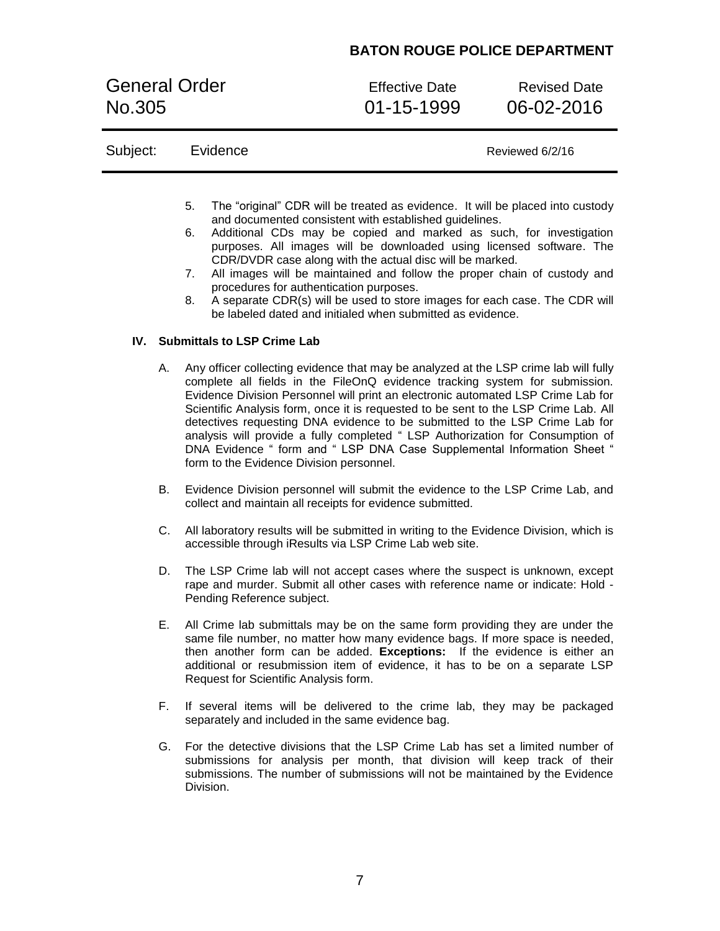General Order **Effective Date** Revised Date No.305 01-15-1999 06-02-2016

| Subject: |    | Evidence<br>Reviewed 6/2/16                                                                                                                                                                            |
|----------|----|--------------------------------------------------------------------------------------------------------------------------------------------------------------------------------------------------------|
|          | 5. | The "original" CDR will be treated as evidence. It will be placed into custody                                                                                                                         |
|          |    | and documented consistent with established guidelines.                                                                                                                                                 |
|          | 6. | Additional CDs may be copied and marked as such, for investigation<br>purposes. All images will be downloaded using licensed software. The<br>CDR/DVDR case along with the actual disc will be marked. |
|          | 7. | All images will be maintained and follow the proper chain of custody and<br>procedures for authentication purposes.                                                                                    |

8. A separate CDR(s) will be used to store images for each case. The CDR will be labeled dated and initialed when submitted as evidence.

### **IV. Submittals to LSP Crime Lab**

- A. Any officer collecting evidence that may be analyzed at the LSP crime lab will fully complete all fields in the FileOnQ evidence tracking system for submission. Evidence Division Personnel will print an electronic automated LSP Crime Lab for Scientific Analysis form, once it is requested to be sent to the LSP Crime Lab. All detectives requesting DNA evidence to be submitted to the LSP Crime Lab for analysis will provide a fully completed " LSP Authorization for Consumption of DNA Evidence " form and " LSP DNA Case Supplemental Information Sheet " form to the Evidence Division personnel.
- B. Evidence Division personnel will submit the evidence to the LSP Crime Lab, and collect and maintain all receipts for evidence submitted.
- C. All laboratory results will be submitted in writing to the Evidence Division, which is accessible through iResults via LSP Crime Lab web site.
- D. The LSP Crime lab will not accept cases where the suspect is unknown, except rape and murder. Submit all other cases with reference name or indicate: Hold - Pending Reference subject.
- E. All Crime lab submittals may be on the same form providing they are under the same file number, no matter how many evidence bags. If more space is needed, then another form can be added. **Exceptions:** If the evidence is either an additional or resubmission item of evidence, it has to be on a separate LSP Request for Scientific Analysis form.
- F. If several items will be delivered to the crime lab, they may be packaged separately and included in the same evidence bag.
- G. For the detective divisions that the LSP Crime Lab has set a limited number of submissions for analysis per month, that division will keep track of their submissions. The number of submissions will not be maintained by the Evidence Division.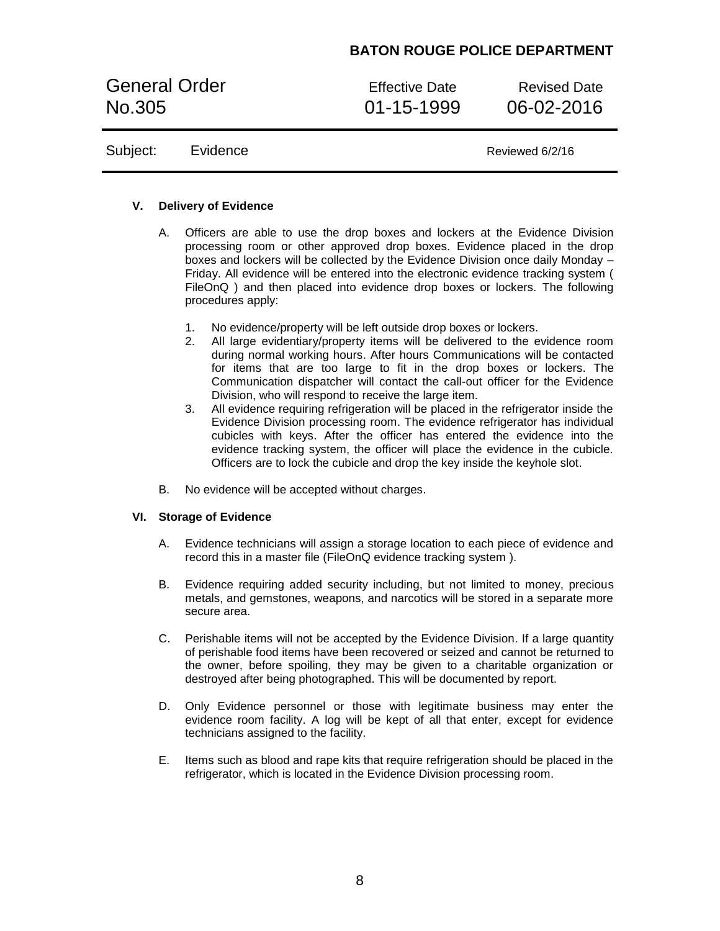General Order **Effective Date** Revised Date No.305 01-15-1999 06-02-2016

Subject: Evidence Reviewed 6/2/16

### **V. Delivery of Evidence**

- A. Officers are able to use the drop boxes and lockers at the Evidence Division processing room or other approved drop boxes. Evidence placed in the drop boxes and lockers will be collected by the Evidence Division once daily Monday – Friday. All evidence will be entered into the electronic evidence tracking system ( FileOnQ ) and then placed into evidence drop boxes or lockers. The following procedures apply:
	- 1. No evidence/property will be left outside drop boxes or lockers.
	- 2. All large evidentiary/property items will be delivered to the evidence room during normal working hours. After hours Communications will be contacted for items that are too large to fit in the drop boxes or lockers. The Communication dispatcher will contact the call-out officer for the Evidence Division, who will respond to receive the large item.
	- 3. All evidence requiring refrigeration will be placed in the refrigerator inside the Evidence Division processing room. The evidence refrigerator has individual cubicles with keys. After the officer has entered the evidence into the evidence tracking system, the officer will place the evidence in the cubicle. Officers are to lock the cubicle and drop the key inside the keyhole slot.
- B. No evidence will be accepted without charges.

#### **VI. Storage of Evidence**

- A. Evidence technicians will assign a storage location to each piece of evidence and record this in a master file (FileOnQ evidence tracking system ).
- B. Evidence requiring added security including, but not limited to money, precious metals, and gemstones, weapons, and narcotics will be stored in a separate more secure area.
- C. Perishable items will not be accepted by the Evidence Division. If a large quantity of perishable food items have been recovered or seized and cannot be returned to the owner, before spoiling, they may be given to a charitable organization or destroyed after being photographed. This will be documented by report.
- D. Only Evidence personnel or those with legitimate business may enter the evidence room facility. A log will be kept of all that enter, except for evidence technicians assigned to the facility.
- E. Items such as blood and rape kits that require refrigeration should be placed in the refrigerator, which is located in the Evidence Division processing room.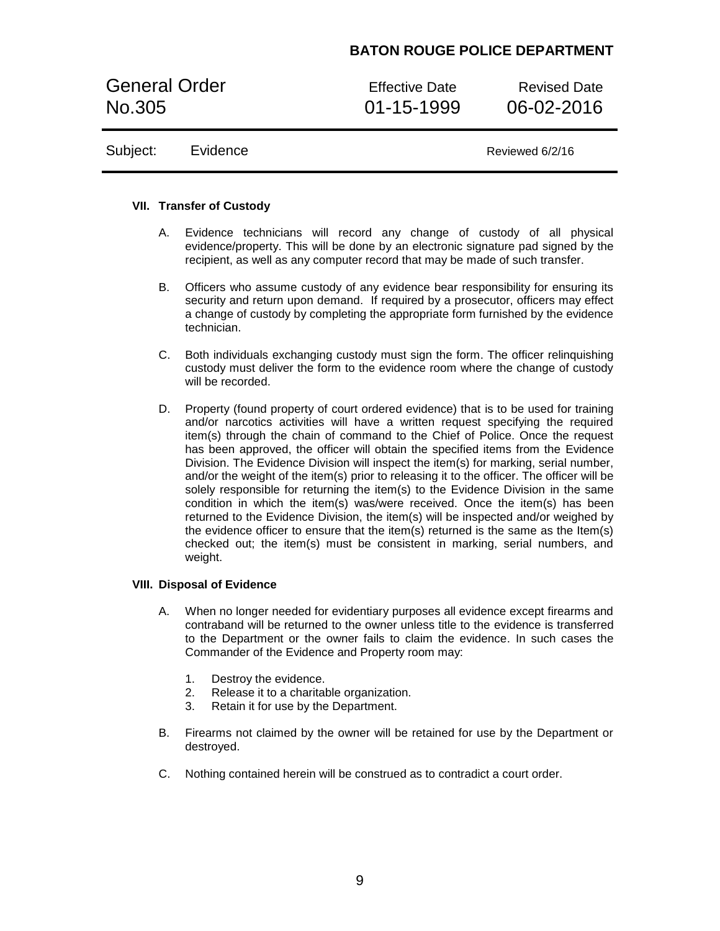General Order **Effective Date** Revised Date No.305 01-15-1999 06-02-2016

Subject: Evidence Reviewed 6/2/16

#### **VII. Transfer of Custody**

- A. Evidence technicians will record any change of custody of all physical evidence/property. This will be done by an electronic signature pad signed by the recipient, as well as any computer record that may be made of such transfer.
- B. Officers who assume custody of any evidence bear responsibility for ensuring its security and return upon demand. If required by a prosecutor, officers may effect a change of custody by completing the appropriate form furnished by the evidence technician.
- C. Both individuals exchanging custody must sign the form. The officer relinquishing custody must deliver the form to the evidence room where the change of custody will be recorded.
- D. Property (found property of court ordered evidence) that is to be used for training and/or narcotics activities will have a written request specifying the required item(s) through the chain of command to the Chief of Police. Once the request has been approved, the officer will obtain the specified items from the Evidence Division. The Evidence Division will inspect the item(s) for marking, serial number, and/or the weight of the item(s) prior to releasing it to the officer. The officer will be solely responsible for returning the item(s) to the Evidence Division in the same condition in which the item(s) was/were received. Once the item(s) has been returned to the Evidence Division, the item(s) will be inspected and/or weighed by the evidence officer to ensure that the item(s) returned is the same as the Item(s) checked out; the item(s) must be consistent in marking, serial numbers, and weight.

#### **VIII. Disposal of Evidence**

- A. When no longer needed for evidentiary purposes all evidence except firearms and contraband will be returned to the owner unless title to the evidence is transferred to the Department or the owner fails to claim the evidence. In such cases the Commander of the Evidence and Property room may:
	- 1. Destroy the evidence.
	- 2. Release it to a charitable organization.
	- 3. Retain it for use by the Department.
- B. Firearms not claimed by the owner will be retained for use by the Department or destroyed.
- C. Nothing contained herein will be construed as to contradict a court order.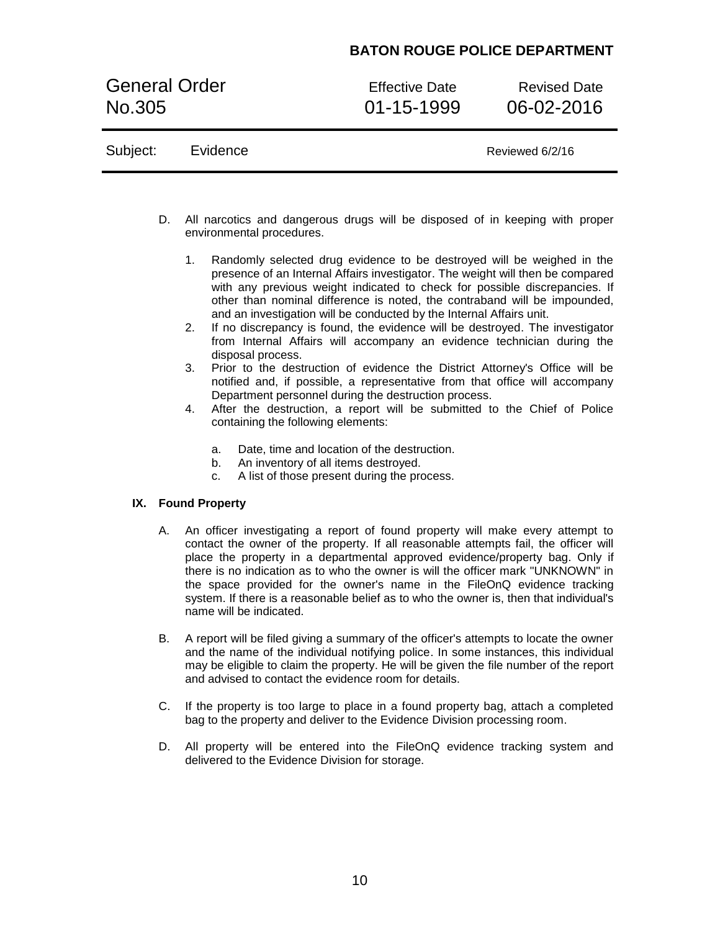General Order **Effective Date** Revised Date No.305 01-15-1999 06-02-2016

|  | Subject: | Evidence | Reviewed 6/2/16 |
|--|----------|----------|-----------------|
|--|----------|----------|-----------------|

- D. All narcotics and dangerous drugs will be disposed of in keeping with proper environmental procedures.
	- 1. Randomly selected drug evidence to be destroyed will be weighed in the presence of an Internal Affairs investigator. The weight will then be compared with any previous weight indicated to check for possible discrepancies. If other than nominal difference is noted, the contraband will be impounded, and an investigation will be conducted by the Internal Affairs unit.
	- 2. If no discrepancy is found, the evidence will be destroyed. The investigator from Internal Affairs will accompany an evidence technician during the disposal process.
	- 3. Prior to the destruction of evidence the District Attorney's Office will be notified and, if possible, a representative from that office will accompany Department personnel during the destruction process.
	- 4. After the destruction, a report will be submitted to the Chief of Police containing the following elements:
		- a. Date, time and location of the destruction.
		- b. An inventory of all items destroyed.
		- c. A list of those present during the process.

### **IX. Found Property**

- A. An officer investigating a report of found property will make every attempt to contact the owner of the property. If all reasonable attempts fail, the officer will place the property in a departmental approved evidence/property bag. Only if there is no indication as to who the owner is will the officer mark "UNKNOWN" in the space provided for the owner's name in the FileOnQ evidence tracking system. If there is a reasonable belief as to who the owner is, then that individual's name will be indicated.
- B. A report will be filed giving a summary of the officer's attempts to locate the owner and the name of the individual notifying police. In some instances, this individual may be eligible to claim the property. He will be given the file number of the report and advised to contact the evidence room for details.
- C. If the property is too large to place in a found property bag, attach a completed bag to the property and deliver to the Evidence Division processing room.
- D. All property will be entered into the FileOnQ evidence tracking system and delivered to the Evidence Division for storage.